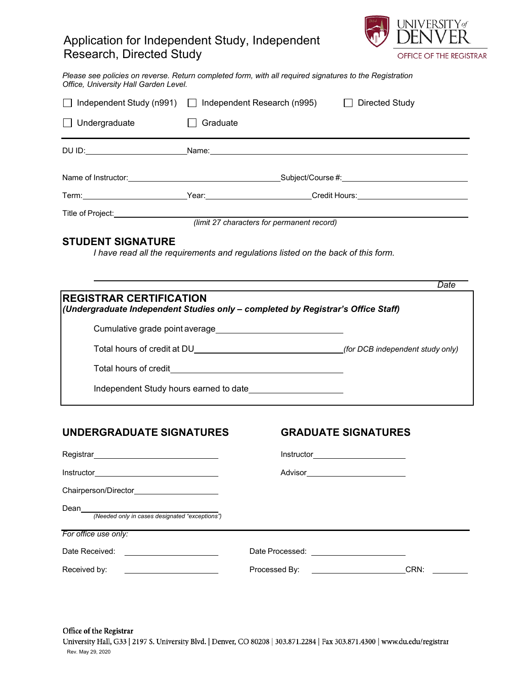# Application for Independent Study, Independent Research, Directed Study



*Please see policies on reverse. Return completed form, with all required signatures to the Registration Office, University Hall Garden Level.* 

| Independent Study (n991)   Independent Research (n995)                                                                                                                                                                                                                                                                                                                                                 |          |  | Directed Study |      |
|--------------------------------------------------------------------------------------------------------------------------------------------------------------------------------------------------------------------------------------------------------------------------------------------------------------------------------------------------------------------------------------------------------|----------|--|----------------|------|
| Undergraduate                                                                                                                                                                                                                                                                                                                                                                                          | Graduate |  |                |      |
|                                                                                                                                                                                                                                                                                                                                                                                                        |          |  |                |      |
|                                                                                                                                                                                                                                                                                                                                                                                                        |          |  |                |      |
|                                                                                                                                                                                                                                                                                                                                                                                                        |          |  |                |      |
| <b>STUDENT SIGNATURE</b><br>I have read all the requirements and regulations listed on the back of this form.                                                                                                                                                                                                                                                                                          |          |  |                |      |
| <b>REGISTRAR CERTIFICATION</b><br>(Undergraduate Independent Studies only - completed by Registrar's Office Staff)<br>Cumulative grade point average<br><u>Letter and the contract of the contract of the contract of the contract of the contract of the contract of the contract of the contract of the contract of the contract of the contract of th</u><br>Independent Study hours earned to date |          |  |                | Date |
|                                                                                                                                                                                                                                                                                                                                                                                                        |          |  |                |      |

## **UNDERGRADUATE SIGNATURES GRADUATE SIGNATURES**

| Instructor<br><u> 1980 - Jan Samuel Barbara, margaret e</u> |                                                                                                                 |      |
|-------------------------------------------------------------|-----------------------------------------------------------------------------------------------------------------|------|
| Chairperson/Director <b>Chairperson</b>                     |                                                                                                                 |      |
| Dean<br>(Needed only in cases designated "exceptions")      |                                                                                                                 |      |
| For office use only:                                        |                                                                                                                 |      |
| Date Received:                                              | Date Processed: National Contract Contract Contract Contract Contract Contract Contract Contract Contract Contr |      |
| Received by:                                                | Processed By:                                                                                                   | CRN: |

Office of the Registrar University Hall, G33 | 2197 S. University Blvd. | Denver, CO 80208 | 303.871.2284 | Fax 303.871.4300 | www.du.edu/registrar Rev. May 29, 2020